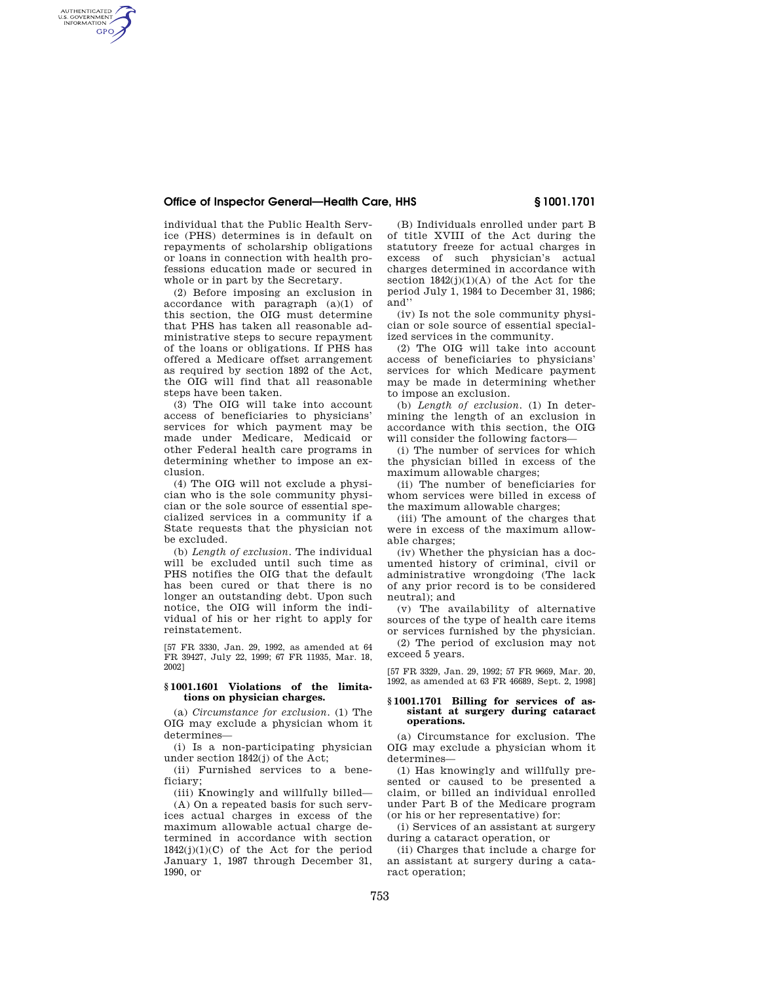# **Office of Inspector General—Health Care, HHS § 1001.1701**

individual that the Public Health Service (PHS) determines is in default on repayments of scholarship obligations or loans in connection with health professions education made or secured in whole or in part by the Secretary.

AUTHENTICATED<br>U.S. GOVERNMENT<br>INFORMATION **GPO** 

> (2) Before imposing an exclusion in accordance with paragraph (a)(1) of this section, the OIG must determine that PHS has taken all reasonable administrative steps to secure repayment of the loans or obligations. If PHS has offered a Medicare offset arrangement as required by section 1892 of the Act, the OIG will find that all reasonable steps have been taken.

> (3) The OIG will take into account access of beneficiaries to physicians' services for which payment may be made under Medicare, Medicaid or other Federal health care programs in determining whether to impose an exclusion.

> (4) The OIG will not exclude a physician who is the sole community physician or the sole source of essential specialized services in a community if a State requests that the physician not be excluded.

> (b) *Length of exclusion.* The individual will be excluded until such time as PHS notifies the OIG that the default has been cured or that there is no longer an outstanding debt. Upon such notice, the OIG will inform the individual of his or her right to apply for reinstatement.

> [57 FR 3330, Jan. 29, 1992, as amended at 64 FR 39427, July 22, 1999; 67 FR 11935, Mar. 18, 2002]

## **§ 1001.1601 Violations of the limitations on physician charges.**

(a) *Circumstance for exclusion.* (1) The OIG may exclude a physician whom it determines—

(i) Is a non-participating physician under section 1842(j) of the Act;

(ii) Furnished services to a beneficiary;

(iii) Knowingly and willfully billed— (A) On a repeated basis for such services actual charges in excess of the maximum allowable actual charge determined in accordance with section  $1842(j)(1)(C)$  of the Act for the period January 1, 1987 through December 31, 1990, or

(B) Individuals enrolled under part B of title XVIII of the Act during the statutory freeze for actual charges in excess of such physician's actual charges determined in accordance with section  $1842(j)(1)(A)$  of the Act for the period July 1, 1984 to December 31, 1986; and''

(iv) Is not the sole community physician or sole source of essential specialized services in the community.

(2) The OIG will take into account access of beneficiaries to physicians' services for which Medicare payment may be made in determining whether to impose an exclusion.

(b) *Length of exclusion.* (1) In determining the length of an exclusion in accordance with this section, the OIG will consider the following factors—

(i) The number of services for which the physician billed in excess of the maximum allowable charges;

(ii) The number of beneficiaries for whom services were billed in excess of the maximum allowable charges;

(iii) The amount of the charges that were in excess of the maximum allowable charges;

(iv) Whether the physician has a documented history of criminal, civil or administrative wrongdoing (The lack of any prior record is to be considered neutral); and

(v) The availability of alternative sources of the type of health care items or services furnished by the physician.

(2) The period of exclusion may not exceed 5 years.

[57 FR 3329, Jan. 29, 1992; 57 FR 9669, Mar. 20, 1992, as amended at 63 FR 46689, Sept. 2, 1998]

#### **§ 1001.1701 Billing for services of assistant at surgery during cataract operations.**

(a) Circumstance for exclusion. The OIG may exclude a physician whom it determines—

(1) Has knowingly and willfully presented or caused to be presented a claim, or billed an individual enrolled under Part B of the Medicare program (or his or her representative) for:

(i) Services of an assistant at surgery during a cataract operation, or

(ii) Charges that include a charge for an assistant at surgery during a cataract operation;